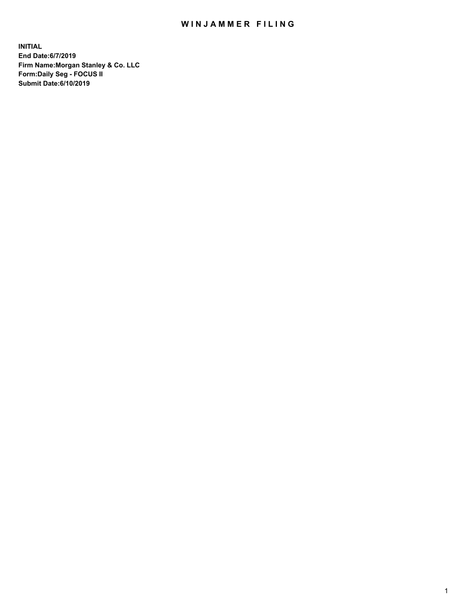## WIN JAMMER FILING

**INITIAL End Date:6/7/2019 Firm Name:Morgan Stanley & Co. LLC Form:Daily Seg - FOCUS II Submit Date:6/10/2019**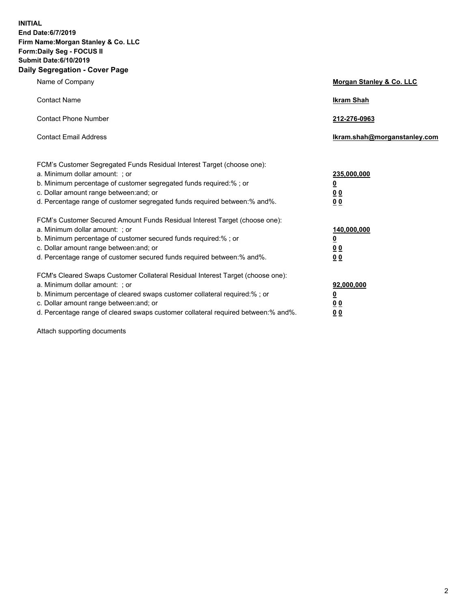**INITIAL End Date:6/7/2019 Firm Name:Morgan Stanley & Co. LLC Form:Daily Seg - FOCUS II Submit Date:6/10/2019 Daily Segregation - Cover Page**

| Name of Company                                                                                                                                                                                                                                                                                                                | Morgan Stanley & Co. LLC                                |
|--------------------------------------------------------------------------------------------------------------------------------------------------------------------------------------------------------------------------------------------------------------------------------------------------------------------------------|---------------------------------------------------------|
| <b>Contact Name</b>                                                                                                                                                                                                                                                                                                            | <b>Ikram Shah</b>                                       |
| <b>Contact Phone Number</b>                                                                                                                                                                                                                                                                                                    | 212-276-0963                                            |
| <b>Contact Email Address</b>                                                                                                                                                                                                                                                                                                   | Ikram.shah@morganstanley.com                            |
| FCM's Customer Segregated Funds Residual Interest Target (choose one):<br>a. Minimum dollar amount: ; or<br>b. Minimum percentage of customer segregated funds required:% ; or<br>c. Dollar amount range between: and; or<br>d. Percentage range of customer segregated funds required between:% and%.                         | 235,000,000<br><u>0</u><br>0 <sup>0</sup><br>00         |
| FCM's Customer Secured Amount Funds Residual Interest Target (choose one):<br>a. Minimum dollar amount: ; or<br>b. Minimum percentage of customer secured funds required:%; or<br>c. Dollar amount range between: and; or<br>d. Percentage range of customer secured funds required between:% and%.                            | 140,000,000<br><u>0</u><br><u>0 0</u><br>0 <sub>0</sub> |
| FCM's Cleared Swaps Customer Collateral Residual Interest Target (choose one):<br>a. Minimum dollar amount: ; or<br>b. Minimum percentage of cleared swaps customer collateral required:% ; or<br>c. Dollar amount range between: and; or<br>d. Percentage range of cleared swaps customer collateral required between:% and%. | 92,000,000<br><u>0</u><br><u>00</u><br>0 <sub>0</sub>   |

Attach supporting documents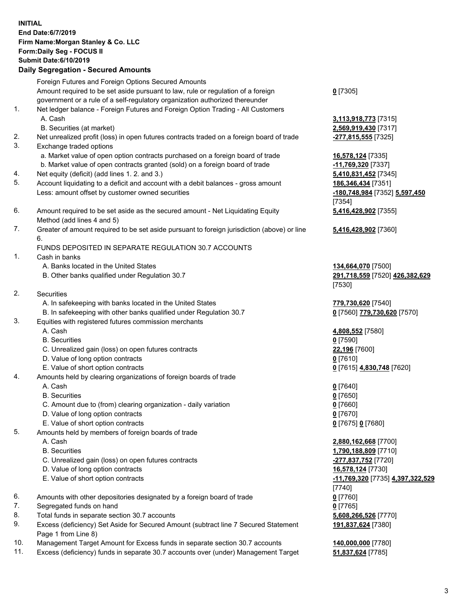## **INITIAL End Date:6/7/2019 Firm Name:Morgan Stanley & Co. LLC Form:Daily Seg - FOCUS II Submit Date:6/10/2019 Daily Segregation - Secured Amounts**

Foreign Futures and Foreign Options Secured Amounts Amount required to be set aside pursuant to law, rule or regulation of a foreign government or a rule of a self-regulatory organization authorized thereunder 1. Net ledger balance - Foreign Futures and Foreign Option Trading - All Customers A. Cash **3,113,918,773** [7315] B. Securities (at market) **2,569,919,430** [7317] 2. Net unrealized profit (loss) in open futures contracts traded on a foreign board of trade **-277,815,555** [7325] 3. Exchange traded options a. Market value of open option contracts purchased on a foreign board of trade **16,578,124** [7335] b. Market value of open contracts granted (sold) on a foreign board of trade **-11,769,320** [7337] 4. Net equity (deficit) (add lines 1. 2. and 3.) **5,410,831,452** [7345] 5. Account liquidating to a deficit and account with a debit balances - gross amount **186,346,434** [7351] Less: amount offset by customer owned securities **-180,748,984** [7352] **5,597,450** 6. Amount required to be set aside as the secured amount - Net Liquidating Equity Method (add lines 4 and 5) 7. Greater of amount required to be set aside pursuant to foreign jurisdiction (above) or line

6.

## FUNDS DEPOSITED IN SEPARATE REGULATION 30.7 ACCOUNTS

- 1. Cash in banks
	- A. Banks located in the United States **134,664,070** [7500]
	- B. Other banks qualified under Regulation 30.7 **291,718,559** [7520] **426,382,629**
- 2. Securities
	- A. In safekeeping with banks located in the United States **779,730,620** [7540]
	- B. In safekeeping with other banks qualified under Regulation 30.7 **0** [7560] **779,730,620** [7570]
- 3. Equities with registered futures commission merchants
	-
	- B. Securities **0** [7590]
	- C. Unrealized gain (loss) on open futures contracts **22,196** [7600]
	- D. Value of long option contracts **0** [7610]
- E. Value of short option contracts **0** [7615] **4,830,748** [7620]
- 4. Amounts held by clearing organizations of foreign boards of trade
	- A. Cash **0** [7640]
	- B. Securities **0** [7650]
	- C. Amount due to (from) clearing organization daily variation **0** [7660]
	- D. Value of long option contracts **0** [7670]
	- E. Value of short option contracts **0** [7675] **0** [7680]
- 5. Amounts held by members of foreign boards of trade
	-
	-
	- C. Unrealized gain (loss) on open futures contracts **-277,837,752** [7720]
	- D. Value of long option contracts **16,578,124** [7730]
	- E. Value of short option contracts **-11,769,320** [7735] **4,397,322,529**
- 6. Amounts with other depositories designated by a foreign board of trade **0** [7760]
- 7. Segregated funds on hand **0** [7765]
- 8. Total funds in separate section 30.7 accounts **5,608,266,526** [7770]
- 9. Excess (deficiency) Set Aside for Secured Amount (subtract line 7 Secured Statement Page 1 from Line 8)
- 10. Management Target Amount for Excess funds in separate section 30.7 accounts **140,000,000** [7780]
- 11. Excess (deficiency) funds in separate 30.7 accounts over (under) Management Target **51,837,624** [7785]

**0** [7305]

[7354] **5,416,428,902** [7355]

**5,416,428,902** [7360]

[7530]

A. Cash **4,808,552** [7580]

 A. Cash **2,880,162,668** [7700] B. Securities **1,790,188,809** [7710] [7740] **191,837,624** [7380]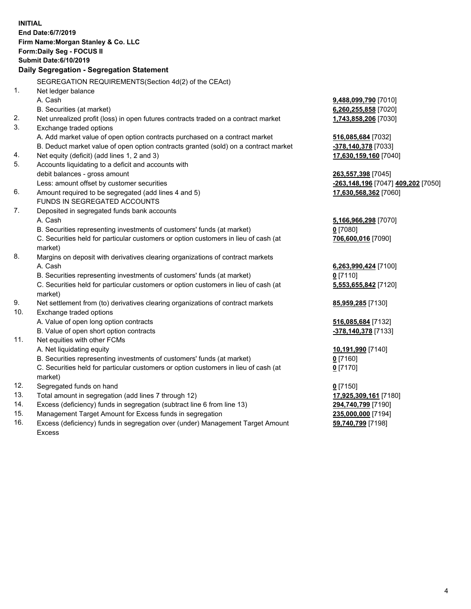|     | <b>INITIAL</b><br>End Date:6/7/2019<br>Firm Name: Morgan Stanley & Co. LLC                |                                    |
|-----|-------------------------------------------------------------------------------------------|------------------------------------|
|     |                                                                                           |                                    |
|     | Form: Daily Seg - FOCUS II<br><b>Submit Date:6/10/2019</b>                                |                                    |
|     | Daily Segregation - Segregation Statement                                                 |                                    |
|     |                                                                                           |                                    |
|     | SEGREGATION REQUIREMENTS(Section 4d(2) of the CEAct)                                      |                                    |
| 1.  | Net ledger balance                                                                        |                                    |
|     | A. Cash                                                                                   | 9,488,099,790 [7010]               |
|     | B. Securities (at market)                                                                 | 6,260,255,858 [7020]               |
| 2.  | Net unrealized profit (loss) in open futures contracts traded on a contract market        | 1,743,858,206 [7030]               |
| 3.  | Exchange traded options                                                                   |                                    |
|     | A. Add market value of open option contracts purchased on a contract market               | 516,085,684 [7032]                 |
|     | B. Deduct market value of open option contracts granted (sold) on a contract market       | -378,140,378 [7033]                |
| 4.  | Net equity (deficit) (add lines 1, 2 and 3)                                               | 17,630,159,160 [7040]              |
| 5.  | Accounts liquidating to a deficit and accounts with                                       |                                    |
|     | debit balances - gross amount                                                             | 263,557,398 [7045]                 |
|     | Less: amount offset by customer securities                                                | -263,148,196 [7047] 409,202 [7050] |
| 6.  | Amount required to be segregated (add lines 4 and 5)                                      | 17,630,568,362 [7060]              |
|     | FUNDS IN SEGREGATED ACCOUNTS                                                              |                                    |
| 7.  | Deposited in segregated funds bank accounts                                               |                                    |
|     | A. Cash<br>B. Securities representing investments of customers' funds (at market)         | 5,166,966,298 [7070]               |
|     | C. Securities held for particular customers or option customers in lieu of cash (at       | $0$ [7080]                         |
|     |                                                                                           | 706,600,016 [7090]                 |
| 8.  | market)<br>Margins on deposit with derivatives clearing organizations of contract markets |                                    |
|     | A. Cash                                                                                   | 6,263,990,424 [7100]               |
|     | B. Securities representing investments of customers' funds (at market)                    | $0$ [7110]                         |
|     | C. Securities held for particular customers or option customers in lieu of cash (at       | 5,553,655,842 [7120]               |
|     | market)                                                                                   |                                    |
| 9.  | Net settlement from (to) derivatives clearing organizations of contract markets           | 85,959,285 [7130]                  |
| 10. | Exchange traded options                                                                   |                                    |
|     | A. Value of open long option contracts                                                    | 516,085,684 [7132]                 |
|     | B. Value of open short option contracts                                                   | -378,140,378 [7133]                |
| 11. | Net equities with other FCMs                                                              |                                    |
|     | A. Net liquidating equity                                                                 | 10,191,990 [7140]                  |
|     | B. Securities representing investments of customers' funds (at market)                    | $0$ [7160]                         |
|     | C. Securities held for particular customers or option customers in lieu of cash (at       | $0$ [7170]                         |
|     | market)                                                                                   |                                    |
| 12. | Segregated funds on hand                                                                  | $0$ [7150]                         |
| 13. | Total amount in segregation (add lines 7 through 12)                                      | 17,925,309,161 [7180]              |
| 14. | Excess (deficiency) funds in segregation (subtract line 6 from line 13)                   | 294,740,799 [7190]                 |
| 15. | Management Target Amount for Excess funds in segregation                                  | 235,000,000 [7194]                 |
| 16. | Excess (deficiency) funds in segregation over (under) Management Target Amount            | 59,740,799 [7198]                  |

16. Excess (deficiency) funds in segregation over (under) Management Target Amount Excess